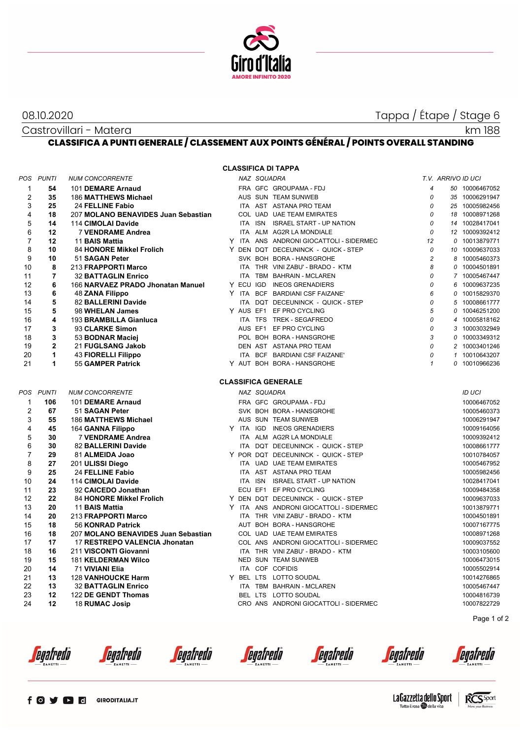

# 08.10.2020 Tappa / Étape / Stage 6

#### Castrovillari - Matera

km 188

## **CLASSIFICA A PUNTI GENERALE / CLASSEMENT AUX POINTS GÉNÉRAL / POINTS OVERALL STANDING**

| <b>CLASSIFICA DI TAPPA</b> |                |                                                   |  |  |             |                                                                                |                |                    |                |                            |  |
|----------------------------|----------------|---------------------------------------------------|--|--|-------------|--------------------------------------------------------------------------------|----------------|--------------------|----------------|----------------------------|--|
| POS                        | <b>PUNTI</b>   | <b>NUM CONCORRENTE</b>                            |  |  | NAZ SQUADRA |                                                                                |                | T.V. ARRIVO ID UCI |                |                            |  |
| $\mathbf 1$                | 54             | 101 DEMARE Arnaud                                 |  |  |             | FRA GFC GROUPAMA - FDJ                                                         | $\overline{4}$ |                    |                | 50 10006467052             |  |
| 2                          | 35             | 186 MATTHEWS Michael                              |  |  |             | AUS SUN TEAM SUNWEB                                                            | 0              |                    |                | 35 10006291947             |  |
| 3                          | 25             | 24 FELLINE Fabio                                  |  |  |             | ITA AST ASTANA PRO TEAM                                                        | 0              |                    |                | 25 10005982456             |  |
| 4                          | 18             | 207 MOLANO BENAVIDES Juan Sebastian               |  |  |             | COL UAD UAE TEAM EMIRATES                                                      | 0              |                    |                | 18 10008971268             |  |
| 5                          | 14             | 114 CIMOLAI Davide                                |  |  |             | ITA ISN ISRAEL START - UP NATION                                               | 0              |                    |                | 14 10028417041             |  |
| 6                          | 12             | <b>7 VENDRAME Andrea</b>                          |  |  |             | ITA ALM AG2R LA MONDIALE                                                       | 0              |                    |                | 12 10009392412             |  |
| $\overline{7}$             | 12             | 11 BAIS Mattia                                    |  |  |             | Y ITA ANS ANDRONI GIOCATTOLI - SIDERMEC                                        | 12             |                    | 0              | 10013879771                |  |
| 8                          | 10             | 84 HONORE Mikkel Frolich                          |  |  |             | Y DEN DQT DECEUNINCK - QUICK - STEP                                            | 0              |                    |                | 10 10009637033             |  |
| 9                          | 10             | 51 SAGAN Peter                                    |  |  |             | SVK BOH BORA - HANSGROHE                                                       | $\overline{c}$ |                    | 8              | 10005460373                |  |
| 10                         | 8              | 213 FRAPPORTI Marco                               |  |  |             | ITA THR VINI ZABU' - BRADO - KTM                                               | 8              |                    |                | 0 10004501891              |  |
| 11                         | $\overline{7}$ | <b>32 BATTAGLIN Enrico</b>                        |  |  |             | ITA TBM BAHRAIN - MCLAREN                                                      | 0              |                    |                | 7 10005467447              |  |
| 12                         | 6              | 166 NARVAEZ PRADO Jhonatan Manuel                 |  |  |             | Y ECU IGD INEOS GRENADIERS                                                     | 0              |                    |                | 6 10009637235              |  |
| 13                         | 6              | 48 ZANA Filippo                                   |  |  |             | Y ITA BCF BARDIANI CSF FAIZANE'                                                | 6              |                    | 0              | 10015829370                |  |
| 14                         | 5              | 82 BALLERINI Davide                               |  |  |             | ITA DQT DECEUNINCK - QUICK - STEP                                              | 0              |                    | 5              | 10008661777                |  |
| 15                         | 5              | 98 WHELAN James                                   |  |  |             | Y AUS EF1 EF PRO CYCLING                                                       | 5              |                    | 0              | 10046251200                |  |
| 16                         | 4              | 193 BRAMBILLA Gianluca                            |  |  |             | ITA TFS TREK - SEGAFREDO                                                       | 0              |                    | $\overline{4}$ | 10005818162                |  |
| 17                         | 3              | 93 CLARKE Simon                                   |  |  |             | AUS EF1 EF PRO CYCLING                                                         | 0              |                    | 3              | 10003032949                |  |
| 18                         | 3              | 53 BODNAR Maciej                                  |  |  |             | POL BOH BORA - HANSGROHE                                                       | 3              |                    | 0              | 10003349312                |  |
| 19                         | $\mathbf{2}$   | 21 FUGLSANG Jakob                                 |  |  |             | DEN AST ASTANA PRO TEAM                                                        | 0              |                    |                | 2 10003401246              |  |
| 20                         | 1              | 43 FIORELLI Filippo                               |  |  |             | ITA BCF BARDIANI CSF FAIZANE'                                                  | $\Omega$       |                    | $\mathbf{1}$   | 10010643207                |  |
| 21                         | 1              | 55 GAMPER Patrick                                 |  |  |             | Y AUT BOH BORA - HANSGROHE                                                     | $\mathbf{1}$   |                    |                | 0 10010966236              |  |
|                            |                |                                                   |  |  |             |                                                                                |                |                    |                |                            |  |
|                            |                |                                                   |  |  |             | <b>CLASSIFICA GENERALE</b>                                                     |                |                    |                |                            |  |
| POS                        | <b>PUNTI</b>   | <b>NUM CONCORRENTE</b>                            |  |  | NAZ SQUADRA |                                                                                |                |                    |                | <b>ID UCI</b>              |  |
| 1                          | 106            | 101 DEMARE Arnaud                                 |  |  |             | FRA GFC GROUPAMA - FDJ                                                         |                |                    |                | 10006467052                |  |
| $\overline{2}$             | 67             | 51 SAGAN Peter                                    |  |  |             | SVK BOH BORA - HANSGROHE                                                       |                |                    |                | 10005460373                |  |
| 3                          | 55             | 186 MATTHEWS Michael                              |  |  |             | AUS SUN TEAM SUNWEB                                                            |                |                    |                | 10006291947                |  |
| 4                          | 45             | 164 GANNA Filippo                                 |  |  |             | Y ITA IGD INEOS GRENADIERS                                                     |                |                    |                | 10009164056                |  |
| 5                          | 30             | <b>7 VENDRAME Andrea</b>                          |  |  |             | ITA ALM AG2R LA MONDIALE                                                       |                |                    |                | 10009392412                |  |
| 6                          | 30             | 82 BALLERINI Davide                               |  |  |             | ITA DQT DECEUNINCK - QUICK - STEP                                              |                |                    |                | 10008661777                |  |
| $\overline{7}$             | 29             | 81 ALMEIDA Joao                                   |  |  |             | Y POR DQT DECEUNINCK - QUICK - STEP                                            |                |                    |                | 10010784057                |  |
| 8                          | 27             | 201 ULISSI Diego                                  |  |  |             | ITA UAD UAE TEAM EMIRATES                                                      |                |                    |                | 10005467952                |  |
| 9                          | 25             | 24 FELLINE Fabio                                  |  |  |             | ITA AST ASTANA PRO TEAM                                                        |                |                    |                | 10005982456                |  |
| 10                         | 24             | 114 CIMOLAI Davide                                |  |  |             | ITA ISN ISRAEL START - UP NATION                                               |                |                    |                | 10028417041                |  |
| 11                         | 23<br>22       | 92 CAICEDO Jonathan                               |  |  |             | ECU EF1 EF PRO CYCLING                                                         |                |                    |                | 10009484358                |  |
| 12<br>13                   | 20             | <b>84 HONORE Mikkel Frolich</b><br>11 BAIS Mattia |  |  |             | Y DEN DQT DECEUNINCK - QUICK - STEP<br>Y ITA ANS ANDRONI GIOCATTOLI - SIDERMEC |                |                    |                | 10009637033                |  |
| 14                         | 20             |                                                   |  |  |             | ITA THR VINI ZABU' - BRADO - KTM                                               |                |                    |                | 10013879771                |  |
| 15                         | 18             | 213 FRAPPORTI Marco<br>56 KONRAD Patrick          |  |  |             | AUT BOH BORA - HANSGROHE                                                       |                |                    |                | 10004501891<br>10007167775 |  |
| 16                         | 18             | 207 MOLANO BENAVIDES Juan Sebastian               |  |  |             | COL UAD UAE TEAM EMIRATES                                                      |                |                    |                | 10008971268                |  |
| 17                         | 17             | 17 RESTREPO VALENCIA Jhonatan                     |  |  |             | COL ANS ANDRONI GIOCATTOLI - SIDERMEC                                          |                |                    |                | 10009037552                |  |
| 18                         | 16             | 211 VISCONTI Giovanni                             |  |  |             | ITA THR VINI ZABU' - BRADO - KTM                                               |                |                    |                | 10003105600                |  |
| 19                         | 15             | <b>181 KELDERMAN Wilco</b>                        |  |  |             | NED SUN TEAM SUNWEB                                                            |                |                    |                | 10006473015                |  |
| 20                         | 14             | 71 VIVIANI Elia                                   |  |  |             | ITA COF COFIDIS                                                                |                |                    |                | 10005502914                |  |
| 21                         | 13             | <b>128 VANHOUCKE Harm</b>                         |  |  |             | Y BEL LTS LOTTO SOUDAL                                                         |                |                    |                | 10014276865                |  |
| 22                         | 13             | <b>32 BATTAGLIN Enrico</b>                        |  |  |             | ITA TBM BAHRAIN - MCLAREN                                                      |                |                    |                | 10005467447                |  |
| 23                         | 12             | 122 DE GENDT Thomas                               |  |  |             | BEL LTS LOTTO SOUDAL                                                           |                |                    |                | 10004816739                |  |
| 24                         | 12             | 18 RUMAC Josip                                    |  |  |             | CRO ANS ANDRONI GIOCATTOLI - SIDERMEC                                          |                |                    |                | 10007822729                |  |
|                            |                |                                                   |  |  |             |                                                                                |                |                    |                |                            |  |

Page 1 of 2

*<u>egafredo</u>* 

*<u>egafredò</u>* 

*<u>egafredò</u>* 

*<u>Cegafredo</u>* 

*<u>egafredò</u>* 

*<u>egafredò</u>*